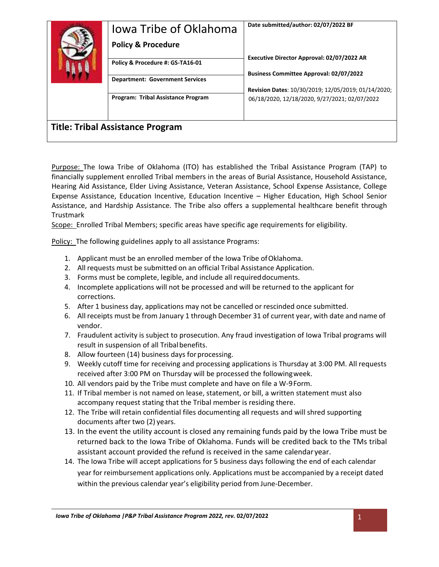| Jowa Tribe of Oklahoma<br><b>Policy &amp; Procedure</b>                    | Date submitted/author: 02/07/2022 BF                                                                 |
|----------------------------------------------------------------------------|------------------------------------------------------------------------------------------------------|
| Policy & Procedure #: GS-TA16-01<br><b>Department: Government Services</b> | Executive Director Approval: 02/07/2022 AR<br><b>Business Committee Approval: 02/07/2022</b>         |
| Program: Tribal Assistance Program                                         | Revision Dates: 10/30/2019; 12/05/2019; 01/14/2020;<br>06/18/2020, 12/18/2020, 9/27/2021; 02/07/2022 |
| <b>Title: Tribal Assistance Program</b>                                    |                                                                                                      |

Purpose: The Iowa Tribe of Oklahoma (ITO) has established the Tribal Assistance Program (TAP) to financially supplement enrolled Tribal members in the areas of Burial Assistance, Household Assistance, Hearing Aid Assistance, Elder Living Assistance, Veteran Assistance, School Expense Assistance, College Expense Assistance, Education Incentive, Education Incentive – Higher Education, High School Senior Assistance, and Hardship Assistance. The Tribe also offers a supplemental healthcare benefit through Trustmark

Scope: Enrolled Tribal Members; specific areas have specific age requirements for eligibility.

Policy: The following guidelines apply to all assistance Programs:

- 1. Applicant must be an enrolled member of the Iowa Tribe ofOklahoma.
- 2. All requests must be submitted on an official Tribal Assistance Application.
- 3. Forms must be complete, legible, and include all requireddocuments.
- 4. Incomplete applications will not be processed and will be returned to the applicant for corrections.
- 5. After 1 business day, applications may not be cancelled or rescinded once submitted.
- 6. All receipts must be from January 1 through December 31 of current year, with date and name of vendor.
- 7. Fraudulent activity is subject to prosecution. Any fraud investigation of Iowa Tribal programs will result in suspension of all Tribalbenefits.
- 8. Allow fourteen (14) business days for processing.
- 9. Weekly cutoff time for receiving and processing applications is Thursday at 3:00 PM. All requests received after 3:00 PM on Thursday will be processed the followingweek.
- 10. All vendors paid by the Tribe must complete and have on file a W-9Form.
- 11. If Tribal member is not named on lease, statement, or bill, a written statement must also accompany request stating that the Tribal member is residing there.
- 12. The Tribe will retain confidential files documenting all requests and will shred supporting documents after two (2) years.
- 13. In the event the utility account is closed any remaining funds paid by the Iowa Tribe must be returned back to the Iowa Tribe of Oklahoma. Funds will be credited back to the TMs tribal assistant account provided the refund is received in the same calendaryear.
- 14. The Iowa Tribe will accept applications for 5 business days following the end of each calendar year for reimbursement applications only. Applications must be accompanied by a receipt dated within the previous calendar year's eligibility period from June-December.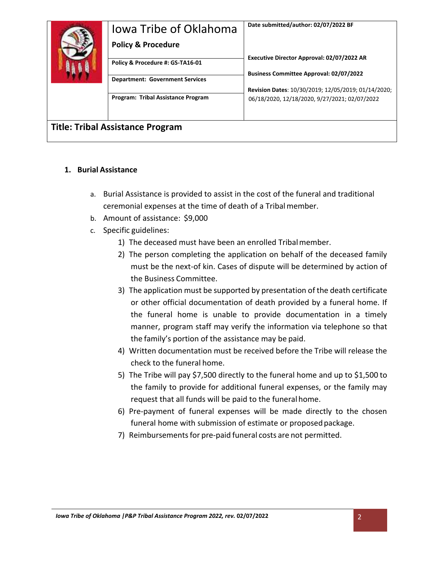| Jowa Tribe of Oklahoma<br><b>Policy &amp; Procedure</b> | Date submitted/author: 02/07/2022 BF                                                         |
|---------------------------------------------------------|----------------------------------------------------------------------------------------------|
| Policy & Procedure #: GS-TA16-01                        | Executive Director Approval: 02/07/2022 AR<br><b>Business Committee Approval: 02/07/2022</b> |
| <b>Department: Government Services</b>                  | Revision Dates: 10/30/2019; 12/05/2019; 01/14/2020;                                          |
| Program: Tribal Assistance Program                      | 06/18/2020, 12/18/2020, 9/27/2021; 02/07/2022                                                |
| <b>Title: Tribal Assistance Program</b>                 |                                                                                              |

## **1. Burial Assistance**

- a. Burial Assistance is provided to assist in the cost of the funeral and traditional ceremonial expenses at the time of death of a Tribalmember.
- b. Amount of assistance: \$9,000
- c. Specific guidelines:
	- 1) The deceased must have been an enrolled Tribalmember.
	- 2) The person completing the application on behalf of the deceased family must be the next-of kin. Cases of dispute will be determined by action of the Business Committee.
	- 3) The application must be supported by presentation of the death certificate or other official documentation of death provided by a funeral home. If the funeral home is unable to provide documentation in a timely manner, program staff may verify the information via telephone so that the family's portion of the assistance may be paid.
	- 4) Written documentation must be received before the Tribe will release the check to the funeral home.
	- 5) The Tribe will pay \$7,500 directly to the funeral home and up to \$1,500 to the family to provide for additional funeral expenses, or the family may request that all funds will be paid to the funeral home.
	- 6) Pre-payment of funeral expenses will be made directly to the chosen funeral home with submission of estimate or proposed package.
	- 7) Reimbursements for pre-paid funeral costs are not permitted.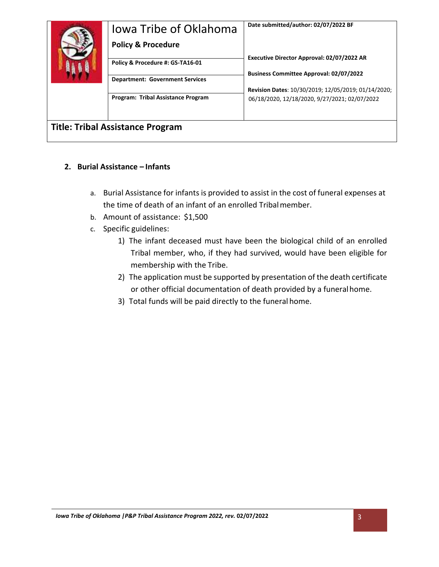| Jowa Tribe of Oklahoma                    | Date submitted/author: 02/07/2022 BF                                                                 |
|-------------------------------------------|------------------------------------------------------------------------------------------------------|
| <b>Policy &amp; Procedure</b>             |                                                                                                      |
| Policy & Procedure #: GS-TA16-01          | Executive Director Approval: 02/07/2022 AR                                                           |
| <b>Department: Government Services</b>    | <b>Business Committee Approval: 02/07/2022</b>                                                       |
| <b>Program: Tribal Assistance Program</b> | Revision Dates: 10/30/2019; 12/05/2019; 01/14/2020;<br>06/18/2020, 12/18/2020, 9/27/2021; 02/07/2022 |
| <b>Title: Tribal Assistance Program</b>   |                                                                                                      |

# **2. Burial Assistance – Infants**

- a. Burial Assistance for infants is provided to assist in the cost of funeral expenses at the time of death of an infant of an enrolled Tribalmember.
- b. Amount of assistance: \$1,500
- c. Specific guidelines:
	- 1) The infant deceased must have been the biological child of an enrolled Tribal member, who, if they had survived, would have been eligible for membership with the Tribe.
	- 2) The application must be supported by presentation of the death certificate or other official documentation of death provided by a funeralhome.
	- 3) Total funds will be paid directly to the funeral home.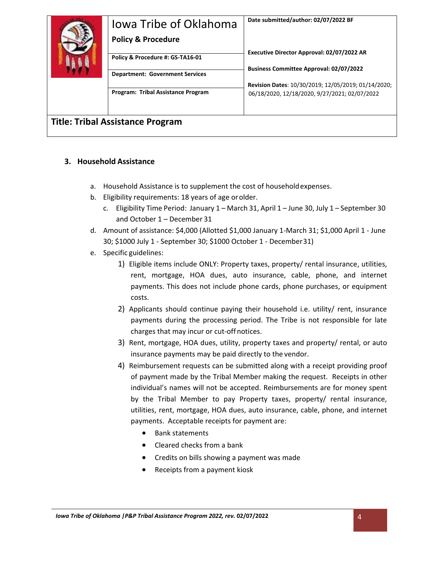| Jowa Tribe of Oklahoma                  | Date submitted/author: 02/07/2022 BF                |
|-----------------------------------------|-----------------------------------------------------|
| <b>Policy &amp; Procedure</b>           |                                                     |
| Policy & Procedure #: GS-TA16-01        | Executive Director Approval: 02/07/2022 AR          |
| <b>Department: Government Services</b>  | <b>Business Committee Approval: 02/07/2022</b>      |
|                                         | Revision Dates: 10/30/2019; 12/05/2019; 01/14/2020; |
| Program: Tribal Assistance Program      | 06/18/2020, 12/18/2020, 9/27/2021; 02/07/2022       |
|                                         |                                                     |
| <b>Title: Tribal Assistance Program</b> |                                                     |

## **3. Household Assistance**

- a. Household Assistance is to supplement the cost of householdexpenses.
- b. Eligibility requirements: 18 years of age orolder.
	- c. Eligibility Time Period: January 1 March 31, April 1 June 30, July 1 September 30 and October 1 – December 31
- d. Amount of assistance: \$4,000 (Allotted \$1,000 January 1-March 31; \$1,000 April 1 June 30; \$1000 July 1 - September 30; \$1000 October 1 - December31)
- e. Specific guidelines:
	- 1) Eligible items include ONLY: Property taxes, property/ rental insurance, utilities, rent, mortgage, HOA dues, auto insurance, cable, phone, and internet payments. This does not include phone cards, phone purchases, or equipment costs.
	- 2) Applicants should continue paying their household i.e. utility/ rent, insurance payments during the processing period. The Tribe is not responsible for late charges that may incur or cut-off notices.
	- 3) Rent, mortgage, HOA dues, utility, property taxes and property/ rental, or auto insurance payments may be paid directly to the vendor.
	- 4) Reimbursement requests can be submitted along with a receipt providing proof of payment made by the Tribal Member making the request. Receipts in other individual's names will not be accepted. Reimbursements are for money spent by the Tribal Member to pay Property taxes, property/ rental insurance, utilities, rent, mortgage, HOA dues, auto insurance, cable, phone, and internet payments. Acceptable receipts for payment are:
		- Bank statements
		- Cleared checks from a bank
		- Credits on bills showing a payment was made
		- Receipts from a payment kiosk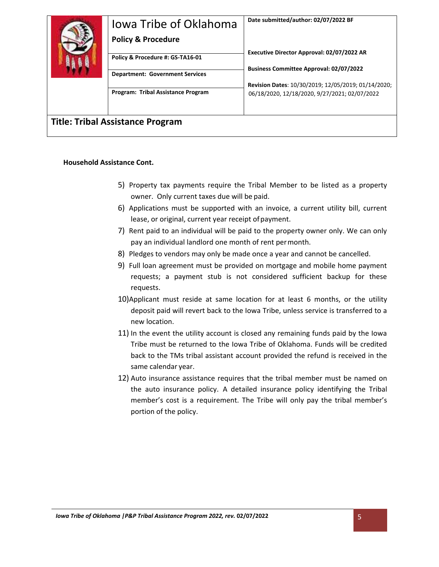| Jowa Tribe of Oklahoma<br><b>Policy &amp; Procedure</b><br>Policy & Procedure #: GS-TA16-01<br><b>Department: Government Services</b> | Date submitted/author: 02/07/2022 BF<br>Executive Director Approval: 02/07/2022 AR<br><b>Business Committee Approval: 02/07/2022</b> |
|---------------------------------------------------------------------------------------------------------------------------------------|--------------------------------------------------------------------------------------------------------------------------------------|
| Program: Tribal Assistance Program                                                                                                    | Revision Dates: 10/30/2019; 12/05/2019; 01/14/2020;<br>06/18/2020, 12/18/2020, 9/27/2021; 02/07/2022                                 |
| <b>Title: Tribal Assistance Program</b>                                                                                               |                                                                                                                                      |

#### **Household Assistance Cont.**

- 5) Property tax payments require the Tribal Member to be listed as a property owner. Only current taxes due will be paid.
- 6) Applications must be supported with an invoice, a current utility bill, current lease, or original, current year receipt of payment.
- 7) Rent paid to an individual will be paid to the property owner only. We can only pay an individual landlord one month of rent permonth.
- 8) Pledges to vendors may only be made once a year and cannot be cancelled.
- 9) Full loan agreement must be provided on mortgage and mobile home payment requests; a payment stub is not considered sufficient backup for these requests.
- 10)Applicant must reside at same location for at least 6 months, or the utility deposit paid will revert back to the Iowa Tribe, unless service is transferred to a new location.
- 11) In the event the utility account is closed any remaining funds paid by the Iowa Tribe must be returned to the Iowa Tribe of Oklahoma. Funds will be credited back to the TMs tribal assistant account provided the refund is received in the same calendar year.
- 12) Auto insurance assistance requires that the tribal member must be named on the auto insurance policy. A detailed insurance policy identifying the Tribal member's cost is a requirement. The Tribe will only pay the tribal member's portion of the policy.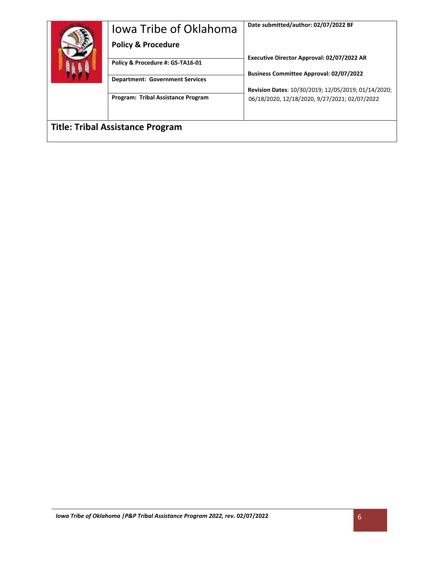| Jowa Tribe of Oklahoma                  | Date submitted/author: 02/07/2022 BF                |
|-----------------------------------------|-----------------------------------------------------|
| <b>Policy &amp; Procedure</b>           |                                                     |
| Policy & Procedure #: GS-TA16-01        | Executive Director Approval: 02/07/2022 AR          |
| <b>Department: Government Services</b>  | <b>Business Committee Approval: 02/07/2022</b>      |
|                                         | Revision Dates: 10/30/2019; 12/05/2019; 01/14/2020; |
| Program: Tribal Assistance Program      | 06/18/2020, 12/18/2020, 9/27/2021; 02/07/2022       |
|                                         |                                                     |
| <b>Title: Tribal Assistance Program</b> |                                                     |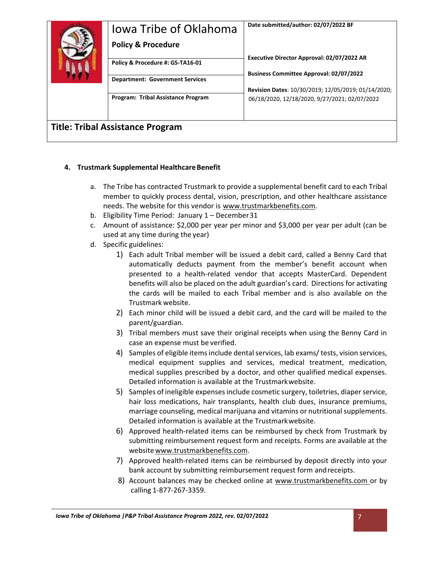| Jowa Tribe of Oklahoma<br><b>Policy &amp; Procedure</b>                    | Date submitted/author: 02/07/2022 BF                                                                 |
|----------------------------------------------------------------------------|------------------------------------------------------------------------------------------------------|
| Policy & Procedure #: GS-TA16-01<br><b>Department: Government Services</b> | Executive Director Approval: 02/07/2022 AR<br><b>Business Committee Approval: 02/07/2022</b>         |
| <b>Program: Tribal Assistance Program</b>                                  | Revision Dates: 10/30/2019; 12/05/2019; 01/14/2020;<br>06/18/2020, 12/18/2020, 9/27/2021; 02/07/2022 |
| <b>Title: Tribal Assistance Program</b>                                    |                                                                                                      |

#### **4. Trustmark Supplemental HealthcareBenefit**

- a. The Tribe has contracted Trustmark to provide a supplemental benefit card to each Tribal member to quickly process dental, vision, prescription, and other healthcare assistance needs. The website for this vendor is [www.trustmarkbenefits.com.](http://www.trustmarkbenefits.com/)
- b. Eligibility Time Period: January 1 December31
- c. Amount of assistance: \$2,000 per year per minor and \$3,000 per year per adult (can be used at any time during the year)
- d. Specific guidelines:
	- 1) Each adult Tribal member will be issued a debit card, called a Benny Card that automatically deducts payment from the member's benefit account when presented to a health-related vendor that accepts MasterCard. Dependent benefits will also be placed on the adult guardian's card. Directions for activating the cards will be mailed to each Tribal member and is also available on the Trustmark website.
	- 2) Each minor child will be issued a debit card, and the card will be mailed to the parent/guardian.
	- 3) Tribal members must save their original receipts when using the Benny Card in case an expense must be verified.
	- 4) Samples of eligible items include dental services, lab exams/tests, vision services, medical equipment supplies and services, medical treatment, medication, medical supplies prescribed by a doctor, and other qualified medical expenses. Detailed information is available at the Trustmarkwebsite.
	- 5) Samples of ineligible expensesinclude cosmetic surgery, toiletries, diaperservice, hair loss medications, hair transplants, health club dues, insurance premiums, marriage counseling, medical marijuana and vitamins or nutritional supplements. Detailed information is available at the Trustmarkwebsite.
	- 6) Approved health-related items can be reimbursed by check from Trustmark by submitting reimbursement request form and receipts. Forms are available at the website www.trustmarkbenefits.com.
	- 7) Approved health-related items can be reimbursed by deposit directly into your bank account by submitting reimbursement request form andreceipts.
	- 8) Account balances may be checked online at [www.trustmarkbenefits.com o](http://www.trustmarkbenefits.com/)r by calling 1-877-267-3359.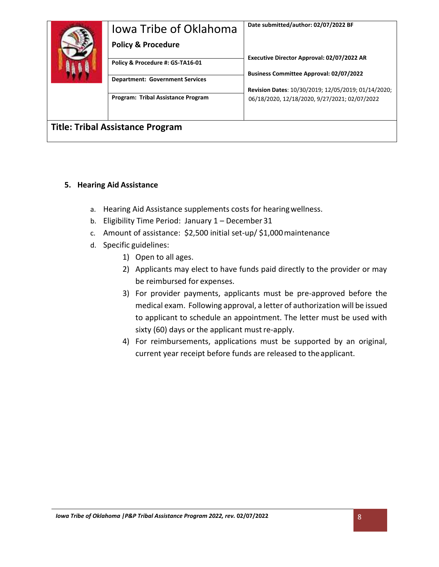| Jowa Tribe of Oklahoma                    | Date submitted/author: 02/07/2022 BF                                                                 |
|-------------------------------------------|------------------------------------------------------------------------------------------------------|
| <b>Policy &amp; Procedure</b>             |                                                                                                      |
| Policy & Procedure #: GS-TA16-01          | Executive Director Approval: 02/07/2022 AR                                                           |
| <b>Department: Government Services</b>    | <b>Business Committee Approval: 02/07/2022</b>                                                       |
| <b>Program: Tribal Assistance Program</b> | Revision Dates: 10/30/2019; 12/05/2019; 01/14/2020;<br>06/18/2020, 12/18/2020, 9/27/2021; 02/07/2022 |
| <b>Title: Tribal Assistance Program</b>   |                                                                                                      |

# **5. Hearing Aid Assistance**

- a. Hearing Aid Assistance supplements costs for hearingwellness.
- b. Eligibility Time Period: January 1 December 31
- c. Amount of assistance: \$2,500 initial set-up/ \$1,000maintenance
- d. Specific guidelines:
	- 1) Open to all ages.
	- 2) Applicants may elect to have funds paid directly to the provider or may be reimbursed for expenses.
	- 3) For provider payments, applicants must be pre-approved before the medical exam. Following approval, a letter of authorization will be issued to applicant to schedule an appointment. The letter must be used with sixty (60) days or the applicant must re-apply.
	- 4) For reimbursements, applications must be supported by an original, current year receipt before funds are released to theapplicant.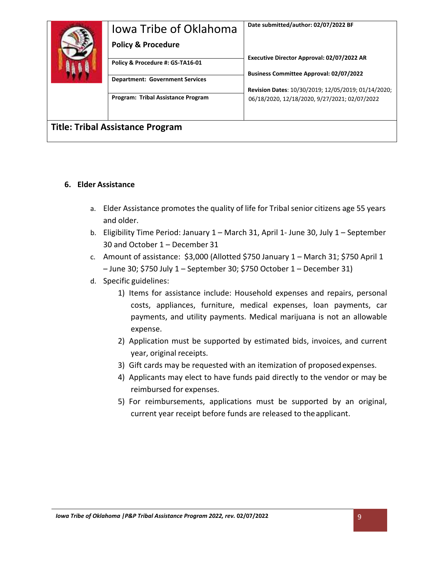| Jowa Tribe of Oklahoma                    | Date submitted/author: 02/07/2022 BF                |
|-------------------------------------------|-----------------------------------------------------|
| <b>Policy &amp; Procedure</b>             |                                                     |
| Policy & Procedure #: GS-TA16-01          | Executive Director Approval: 02/07/2022 AR          |
| <b>Department: Government Services</b>    | <b>Business Committee Approval: 02/07/2022</b>      |
|                                           | Revision Dates: 10/30/2019; 12/05/2019; 01/14/2020; |
| <b>Program: Tribal Assistance Program</b> | 06/18/2020, 12/18/2020, 9/27/2021; 02/07/2022       |
| <b>Title: Tribal Assistance Program</b>   |                                                     |
|                                           |                                                     |

## **6. Elder Assistance**

- a. Elder Assistance promotes the quality of life for Tribal senior citizens age 55 years and older.
- b. Eligibility Time Period: January 1 March 31, April 1- June 30, July 1 September 30 and October 1 – December 31
- c. Amount of assistance: \$3,000 (Allotted \$750 January 1 March 31; \$750 April 1 – June 30; \$750 July 1 – September 30; \$750 October 1 – December 31)
- d. Specific guidelines:
	- 1) Items for assistance include: Household expenses and repairs, personal costs, appliances, furniture, medical expenses, loan payments, car payments, and utility payments. Medical marijuana is not an allowable expense.
	- 2) Application must be supported by estimated bids, invoices, and current year, original receipts.
	- 3) Gift cards may be requested with an itemization of proposedexpenses.
	- 4) Applicants may elect to have funds paid directly to the vendor or may be reimbursed for expenses.
	- 5) For reimbursements, applications must be supported by an original, current year receipt before funds are released to theapplicant.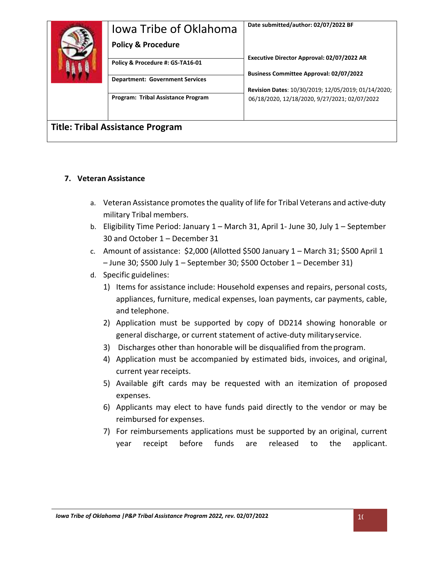| Jowa Tribe of Oklahoma<br><b>Policy &amp; Procedure</b>                    | Date submitted/author: 02/07/2022 BF                                                                 |
|----------------------------------------------------------------------------|------------------------------------------------------------------------------------------------------|
| Policy & Procedure #: GS-TA16-01<br><b>Department: Government Services</b> | Executive Director Approval: 02/07/2022 AR<br><b>Business Committee Approval: 02/07/2022</b>         |
| Program: Tribal Assistance Program                                         | Revision Dates: 10/30/2019; 12/05/2019; 01/14/2020;<br>06/18/2020, 12/18/2020, 9/27/2021; 02/07/2022 |
| <b>Title: Tribal Assistance Program</b>                                    |                                                                                                      |

# **7. Veteran Assistance**

- a. Veteran Assistance promotes the quality of life for Tribal Veterans and active-duty military Tribal members.
- b. Eligibility Time Period: January 1 March 31, April 1- June 30, July 1 September 30 and October 1 – December 31
- c. Amount of assistance: \$2,000 (Allotted \$500 January 1 March 31; \$500 April 1 – June 30; \$500 July 1 – September 30; \$500 October 1 – December 31)
- d. Specific guidelines:
	- 1) Items for assistance include: Household expenses and repairs, personal costs, appliances, furniture, medical expenses, loan payments, car payments, cable, and telephone.
	- 2) Application must be supported by copy of DD214 showing honorable or general discharge, or current statement of active-duty militaryservice.
	- 3) Discharges other than honorable will be disqualified from theprogram.
	- 4) Application must be accompanied by estimated bids, invoices, and original, current year receipts.
	- 5) Available gift cards may be requested with an itemization of proposed expenses.
	- 6) Applicants may elect to have funds paid directly to the vendor or may be reimbursed for expenses.
	- 7) For reimbursements applications must be supported by an original, current year receipt before funds are released to the applicant.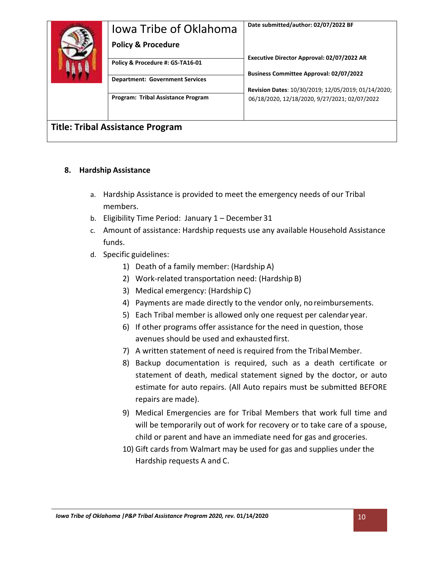| Jowa Tribe of Oklahoma<br><b>Policy &amp; Procedure</b>                    | Date submitted/author: 02/07/2022 BF                                                                 |
|----------------------------------------------------------------------------|------------------------------------------------------------------------------------------------------|
| Policy & Procedure #: GS-TA16-01<br><b>Department: Government Services</b> | Executive Director Approval: 02/07/2022 AR<br><b>Business Committee Approval: 02/07/2022</b>         |
| <b>Program: Tribal Assistance Program</b>                                  | Revision Dates: 10/30/2019; 12/05/2019; 01/14/2020;<br>06/18/2020, 12/18/2020, 9/27/2021; 02/07/2022 |
| <b>Title: Tribal Assistance Program</b>                                    |                                                                                                      |

## **8. Hardship Assistance**

- a. Hardship Assistance is provided to meet the emergency needs of our Tribal members.
- b. Eligibility Time Period: January 1 December 31
- c. Amount of assistance: Hardship requests use any available Household Assistance funds.
- d. Specific guidelines:
	- 1) Death of a family member: (Hardship A)
	- 2) Work-related transportation need: (Hardship B)
	- 3) Medical emergency: (Hardship C)
	- 4) Payments are made directly to the vendor only, noreimbursements.
	- 5) Each Tribal member is allowed only one request per calendar year.
	- 6) If other programs offer assistance for the need in question, those avenues should be used and exhausted first.
	- 7) A written statement of need is required from the Tribal Member.
	- 8) Backup documentation is required, such as a death certificate or statement of death, medical statement signed by the doctor, or auto estimate for auto repairs. (All Auto repairs must be submitted BEFORE repairs are made).
	- 9) Medical Emergencies are for Tribal Members that work full time and will be temporarily out of work for recovery or to take care of a spouse, child or parent and have an immediate need for gas and groceries.
	- 10) Gift cards from Walmart may be used for gas and supplies under the Hardship requests A and C.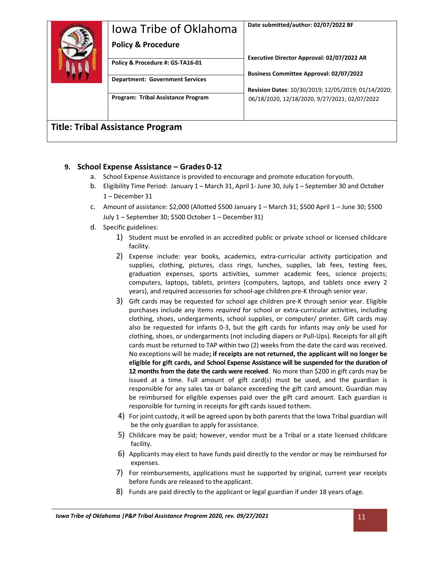| Jowa Tribe of Oklahoma<br><b>Policy &amp; Procedure</b>                    | Date submitted/author: 02/07/2022 BF                                                                 |
|----------------------------------------------------------------------------|------------------------------------------------------------------------------------------------------|
| Policy & Procedure #: GS-TA16-01<br><b>Department: Government Services</b> | Executive Director Approval: 02/07/2022 AR<br><b>Business Committee Approval: 02/07/2022</b>         |
| <b>Program: Tribal Assistance Program</b>                                  | Revision Dates: 10/30/2019; 12/05/2019; 01/14/2020;<br>06/18/2020, 12/18/2020, 9/27/2021; 02/07/2022 |
| <b>Title: Tribal Assistance Program</b>                                    |                                                                                                      |

#### **9. School Expense Assistance – Grades 0-12**

- a. School Expense Assistance is provided to encourage and promote education foryouth.
- b. Eligibility Time Period: January 1 March 31, April 1- June 30, July 1 September 30 and October 1 – December 31
- c. Amount of assistance: \$2,000 (Allotted \$500 January 1 March 31; \$500 April 1 June 30; \$500 July 1 – September 30; \$500 October 1 – December31)
- d. Specific guidelines:
	- 1) Student must be enrolled in an accredited public or private school or licensed childcare facility.
	- 2) Expense include: year books, academics, extra-curricular activity participation and supplies, clothing, pictures, class rings, lunches, supplies, lab fees, testing fees, graduation expenses, sports activities, summer academic fees, science projects; computers, laptops, tablets, printers (computers, laptops, and tablets once every 2 years), and required accessories for school-age children pre-K through senior year.
	- 3) Gift cards may be requested for school age children pre-K through senior year. Eligible purchases include any items *required* for school or extra-curricular activities, including clothing, shoes, undergarments, school supplies, or computer/ printer. Gift cards may also be requested for infants 0-3, but the gift cards for infants may *only* be used for clothing, shoes, or undergarments (not including diapers or Pull-Ups). Receipts for all gift cards must be returned to TAP within two (2) weeks from the date the card was received. No exceptions will be made**; if receipts are not returned, the applicant will no longer be eligible for gift cards, and School Expense Assistance will be suspended for the duration of 12 months from the date the cards were received**. No more than \$200 in gift cards may be issued at a time. Full amount of gift card(s) must be used, and the guardian is responsible for any sales tax or balance exceeding the gift card amount. Guardian may be reimbursed for eligible expenses paid over the gift card amount. Each guardian is responsible for turning in receipts for gift cards issued tothem.
	- 4) For joint custody, it will be agreed upon by both parents that the Iowa Tribal guardian will be the only guardian to apply for assistance.
	- 5) Childcare may be paid; however, vendor must be a Tribal or a state licensed childcare facility.
	- 6) Applicants may elect to have funds paid directly to the vendor or may be reimbursed for expenses.
	- 7) For reimbursements, applications must be supported by original, current year receipts before funds are released to the applicant.
	- 8) Funds are paid directly to the applicant or legal guardian if under 18 years ofage.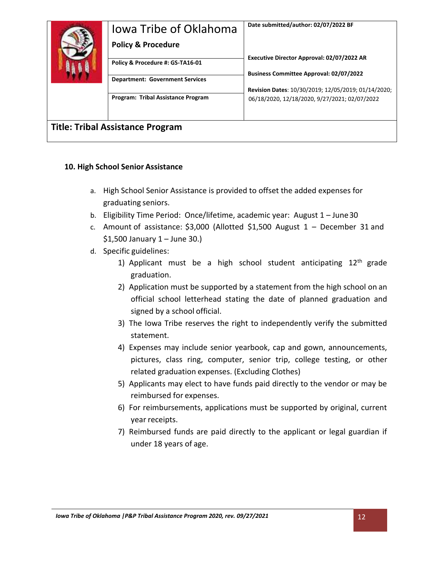| Jowa Tribe of Oklahoma                    | Date submitted/author: 02/07/2022 BF                                                                 |
|-------------------------------------------|------------------------------------------------------------------------------------------------------|
| <b>Policy &amp; Procedure</b>             |                                                                                                      |
| Policy & Procedure #: GS-TA16-01          | Executive Director Approval: 02/07/2022 AR                                                           |
| <b>Department: Government Services</b>    | <b>Business Committee Approval: 02/07/2022</b>                                                       |
| <b>Program: Tribal Assistance Program</b> | Revision Dates: 10/30/2019; 12/05/2019; 01/14/2020;<br>06/18/2020, 12/18/2020, 9/27/2021; 02/07/2022 |
| <b>Title: Tribal Assistance Program</b>   |                                                                                                      |

## **10. High School Senior Assistance**

- a. High School Senior Assistance is provided to offset the added expenses for graduating seniors.
- b. Eligibility Time Period: Once/lifetime, academic year: August 1 June30
- c. Amount of assistance: \$3,000 (Allotted \$1,500 August 1 December 31 and \$1,500 January 1 – June 30.)
- d. Specific guidelines:
	- 1) Applicant must be a high school student anticipating  $12<sup>th</sup>$  grade graduation.
	- 2) Application must be supported by a statement from the high school on an official school letterhead stating the date of planned graduation and signed by a school official.
	- 3) The Iowa Tribe reserves the right to independently verify the submitted statement.
	- 4) Expenses may include senior yearbook, cap and gown, announcements, pictures, class ring, computer, senior trip, college testing, or other related graduation expenses. (Excluding Clothes)
	- 5) Applicants may elect to have funds paid directly to the vendor or may be reimbursed for expenses.
	- 6) For reimbursements, applications must be supported by original, current year receipts.
	- 7) Reimbursed funds are paid directly to the applicant or legal guardian if under 18 years of age.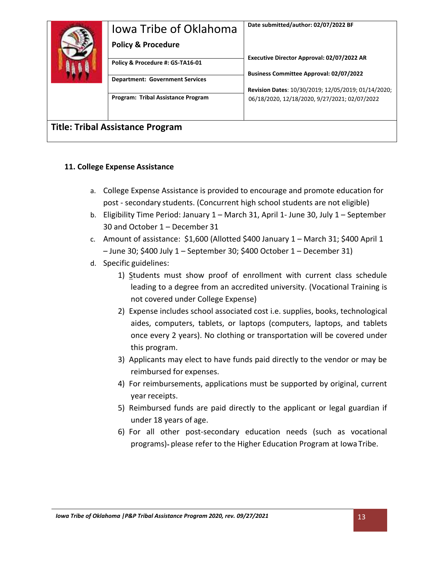| Jowa Tribe of Oklahoma<br><b>Policy &amp; Procedure</b>                    | Date submitted/author: 02/07/2022 BF                                                                 |
|----------------------------------------------------------------------------|------------------------------------------------------------------------------------------------------|
| Policy & Procedure #: GS-TA16-01<br><b>Department: Government Services</b> | Executive Director Approval: 02/07/2022 AR<br><b>Business Committee Approval: 02/07/2022</b>         |
| <b>Program: Tribal Assistance Program</b>                                  | Revision Dates: 10/30/2019; 12/05/2019; 01/14/2020;<br>06/18/2020, 12/18/2020, 9/27/2021; 02/07/2022 |
| <b>Title: Tribal Assistance Program</b>                                    |                                                                                                      |

## **11. College Expense Assistance**

- a. College Expense Assistance is provided to encourage and promote education for post - secondary students. (Concurrent high school students are not eligible)
- b. Eligibility Time Period: January 1 March 31, April 1- June 30, July 1 September 30 and October 1 – December 31
- c. Amount of assistance: \$1,600 (Allotted \$400 January 1 March 31; \$400 April 1 – June 30; \$400 July 1 – September 30; \$400 October 1 – December 31)
- d. Specific guidelines:
	- 1) Students must show proof of enrollment with current class schedule leading to a degree from an accredited university. (Vocational Training is not covered under College Expense)
	- 2) Expense includes school associated cost i.e. supplies, books, technological aides, computers, tablets, or laptops (computers, laptops, and tablets once every 2 years). No clothing or transportation will be covered under this program.
	- 3) Applicants may elect to have funds paid directly to the vendor or may be reimbursed for expenses.
	- 4) For reimbursements, applications must be supported by original, current year receipts.
	- 5) Reimbursed funds are paid directly to the applicant or legal guardian if under 18 years of age.
	- 6) For all other post-secondary education needs (such as vocational programs)- please refer to the Higher Education Program at Iowa Tribe.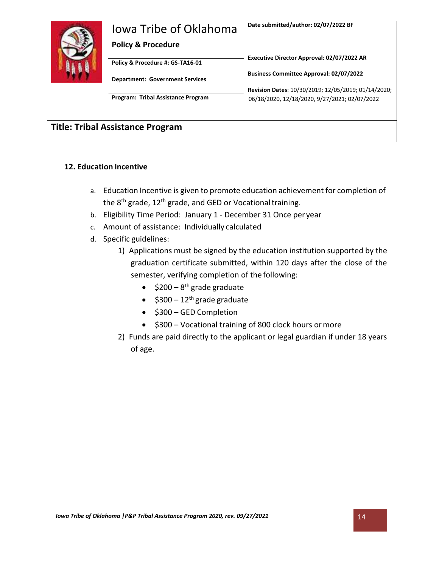| Jowa Tribe of Oklahoma                    | Date submitted/author: 02/07/2022 BF                |
|-------------------------------------------|-----------------------------------------------------|
| <b>Policy &amp; Procedure</b>             | Executive Director Approval: 02/07/2022 AR          |
| Policy & Procedure #: GS-TA16-01          | <b>Business Committee Approval: 02/07/2022</b>      |
| <b>Department: Government Services</b>    | Revision Dates: 10/30/2019; 12/05/2019; 01/14/2020; |
| <b>Program: Tribal Assistance Program</b> | 06/18/2020, 12/18/2020, 9/27/2021; 02/07/2022       |
| <b>Title: Tribal Assistance Program</b>   |                                                     |

# **12. Education Incentive**

- a. Education Incentive is given to promote education achievement for completion of the 8<sup>th</sup> grade, 12<sup>th</sup> grade, and GED or Vocational training.
- b. Eligibility Time Period: January 1 December 31 Once per year
- c. Amount of assistance: Individually calculated
- d. Specific guidelines:
	- 1) Applications must be signed by the education institution supported by the graduation certificate submitted, within 120 days after the close of the semester, verifying completion of the following:
		- $$200-8<sup>th</sup>$  grade graduate
		- $$300 12<sup>th</sup>$  grade graduate
		- \$300 GED Completion
		- \$300 Vocational training of 800 clock hours ormore
	- 2) Funds are paid directly to the applicant or legal guardian if under 18 years of age.